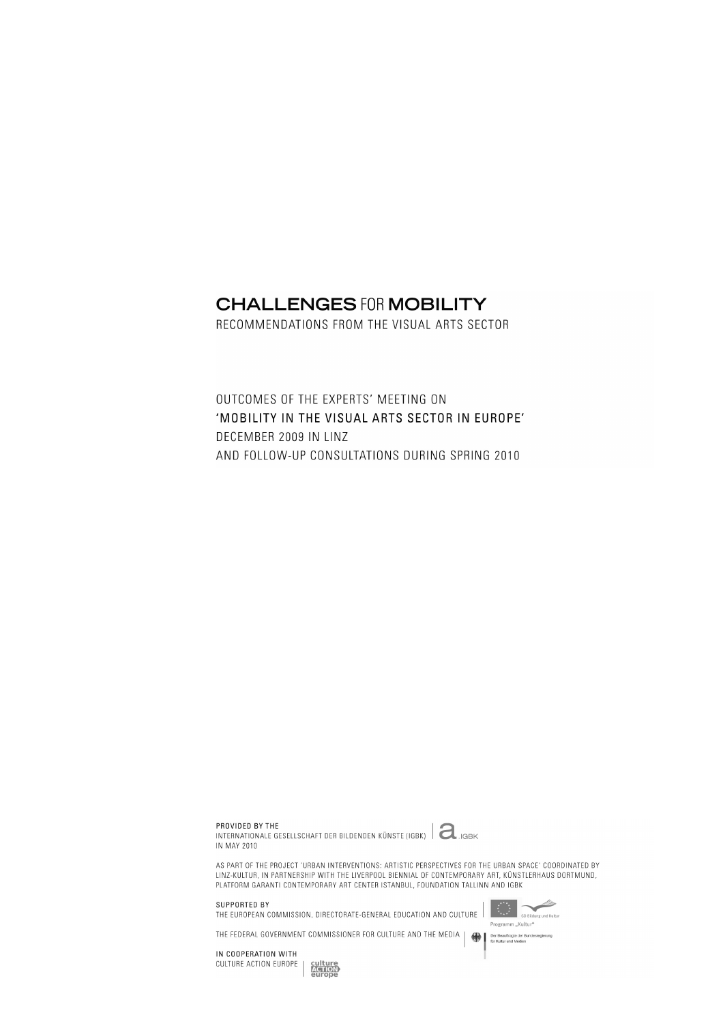# **CHALLENGES FOR MOBILITY**

RECOMMENDATIONS FROM THE VISUAL ARTS SECTOR

OUTCOMES OF THE EXPERTS' MEETING ON 'MOBILITY IN THE VISUAL ARTS SECTOR IN EUROPE' DECEMBER 2009 IN LINZ AND FOLLOW-UP CONSULTATIONS DURING SPRING 2010

PROVIDED BY THE

INTERNATIONALE GESELLSCHAFT DER BILDENDEN KÜNSTE (IGBK) | aGBK IN MAY 2010



AS PART OF THE PROJECT 'URBAN INTERVENTIONS: ARTISTIC PERSPECTIVES FOR THE URBAN SPACE' COORDINATED BY<br>LINZ-KULTUR, IN PARTNERSHIP WITH THE LIVERPOOL BIENNIAL OF CONTEMPORARY ART, KÜNSTLERHAUS DORTMUND, PLATFORM GARANTI CONTEMPORARY ART CENTER ISTANBUL, FOUNDATION TALLINN AND IGBK

SUPPORTED BY

THE EUROPEAN COMMISSION, DIRECTORATE-GENERAL EDUCATION AND CULTURE

THE FEDERAL GOVERNMENT COMMISSIONER FOR CULTURE AND THE MEDIA



Der Beauftragte der Bundesregierung

IN COOPERATION WITH CULTURE ACTION EUROPE

**ACTION**<br>ACTION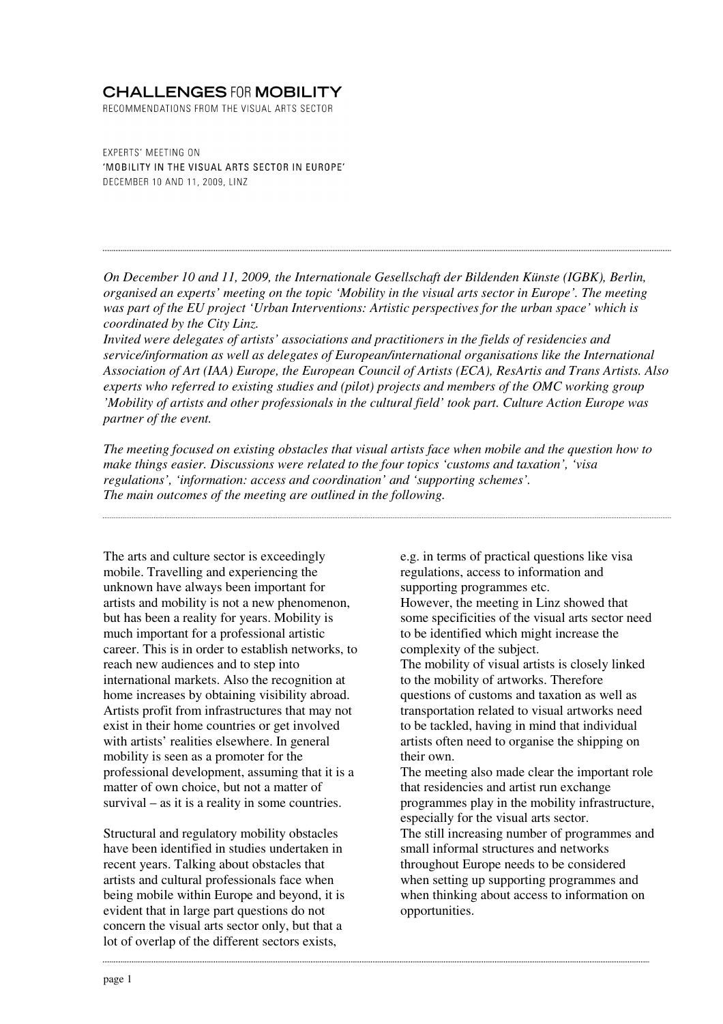# **CHALLENGES FOR MOBILITY**

RECOMMENDATIONS FROM THE VISUAL ARTS SECTOR

**EXPERTS' MEETING ON** 'MOBILITY IN THE VISUAL ARTS SECTOR IN EUROPE' DECEMBER 10 AND 11, 2009, LINZ

*On December 10 and 11, 2009, the Internationale Gesellschaft der Bildenden Künste (IGBK), Berlin, organised an experts' meeting on the topic 'Mobility in the visual arts sector in Europe'. The meeting was part of the EU project 'Urban Interventions: Artistic perspectives for the urban space' which is coordinated by the City Linz.* 

*Invited were delegates of artists' associations and practitioners in the fields of residencies and service/information as well as delegates of European/international organisations like the International Association of Art (IAA) Europe, the European Council of Artists (ECA), ResArtis and Trans Artists. Also experts who referred to existing studies and (pilot) projects and members of the OMC working group 'Mobility of artists and other professionals in the cultural field' took part. Culture Action Europe was partner of the event.* 

*The meeting focused on existing obstacles that visual artists face when mobile and the question how to make things easier. Discussions were related to the four topics 'customs and taxation', 'visa regulations', 'information: access and coordination' and 'supporting schemes'. The main outcomes of the meeting are outlined in the following.* 

The arts and culture sector is exceedingly mobile. Travelling and experiencing the unknown have always been important for artists and mobility is not a new phenomenon, but has been a reality for years. Mobility is much important for a professional artistic career. This is in order to establish networks, to reach new audiences and to step into international markets. Also the recognition at home increases by obtaining visibility abroad. Artists profit from infrastructures that may not exist in their home countries or get involved with artists' realities elsewhere. In general mobility is seen as a promoter for the professional development, assuming that it is a matter of own choice, but not a matter of survival – as it is a reality in some countries.

Structural and regulatory mobility obstacles have been identified in studies undertaken in recent years. Talking about obstacles that artists and cultural professionals face when being mobile within Europe and beyond, it is evident that in large part questions do not concern the visual arts sector only, but that a lot of overlap of the different sectors exists,

e.g. in terms of practical questions like visa regulations, access to information and supporting programmes etc. However, the meeting in Linz showed that some specificities of the visual arts sector need to be identified which might increase the complexity of the subject. The mobility of visual artists is closely linked to the mobility of artworks. Therefore questions of customs and taxation as well as transportation related to visual artworks need to be tackled, having in mind that individual artists often need to organise the shipping on their own. The meeting also made clear the important role

that residencies and artist run exchange programmes play in the mobility infrastructure, especially for the visual arts sector. The still increasing number of programmes and small informal structures and networks throughout Europe needs to be considered when setting up supporting programmes and when thinking about access to information on opportunities.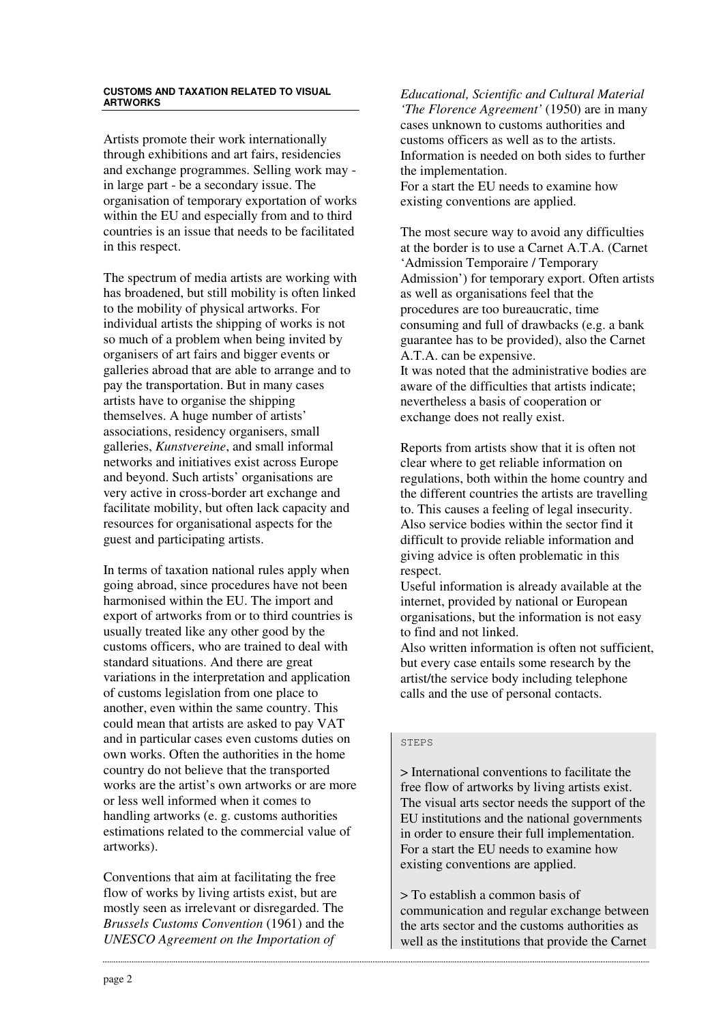#### **CUSTOMS AND TAXATION RELATED TO VISUAL ARTWORKS**

Artists promote their work internationally through exhibitions and art fairs, residencies and exchange programmes. Selling work may in large part - be a secondary issue. The organisation of temporary exportation of works within the EU and especially from and to third countries is an issue that needs to be facilitated in this respect.

The spectrum of media artists are working with has broadened, but still mobility is often linked to the mobility of physical artworks. For individual artists the shipping of works is not so much of a problem when being invited by organisers of art fairs and bigger events or galleries abroad that are able to arrange and to pay the transportation. But in many cases artists have to organise the shipping themselves. A huge number of artists' associations, residency organisers, small galleries, *Kunstvereine*, and small informal networks and initiatives exist across Europe and beyond. Such artists' organisations are very active in cross-border art exchange and facilitate mobility, but often lack capacity and resources for organisational aspects for the guest and participating artists.

In terms of taxation national rules apply when going abroad, since procedures have not been harmonised within the EU. The import and export of artworks from or to third countries is usually treated like any other good by the customs officers, who are trained to deal with standard situations. And there are great variations in the interpretation and application of customs legislation from one place to another, even within the same country. This could mean that artists are asked to pay VAT and in particular cases even customs duties on own works. Often the authorities in the home country do not believe that the transported works are the artist's own artworks or are more or less well informed when it comes to handling artworks (e. g. customs authorities estimations related to the commercial value of artworks).

Conventions that aim at facilitating the free flow of works by living artists exist, but are mostly seen as irrelevant or disregarded. The *Brussels Customs Convention* (1961) and the *UNESCO Agreement on the Importation of* 

*Educational, Scientific and Cultural Material 'The Florence Agreement'* (1950) are in many cases unknown to customs authorities and customs officers as well as to the artists. Information is needed on both sides to further the implementation. For a start the EU needs to examine how

existing conventions are applied.

The most secure way to avoid any difficulties at the border is to use a Carnet A.T.A. (Carnet 'Admission Temporaire / Temporary Admission') for temporary export. Often artists as well as organisations feel that the procedures are too bureaucratic, time consuming and full of drawbacks (e.g. a bank guarantee has to be provided), also the Carnet A.T.A. can be expensive. It was noted that the administrative bodies are aware of the difficulties that artists indicate; nevertheless a basis of cooperation or exchange does not really exist.

Reports from artists show that it is often not clear where to get reliable information on regulations, both within the home country and the different countries the artists are travelling to. This causes a feeling of legal insecurity. Also service bodies within the sector find it difficult to provide reliable information and giving advice is often problematic in this respect.

Useful information is already available at the internet, provided by national or European organisations, but the information is not easy to find and not linked.

Also written information is often not sufficient, but every case entails some research by the artist/the service body including telephone calls and the use of personal contacts.

## STEPS

> International conventions to facilitate the free flow of artworks by living artists exist. The visual arts sector needs the support of the EU institutions and the national governments in order to ensure their full implementation. For a start the EU needs to examine how existing conventions are applied.

> To establish a common basis of communication and regular exchange between the arts sector and the customs authorities as well as the institutions that provide the Carnet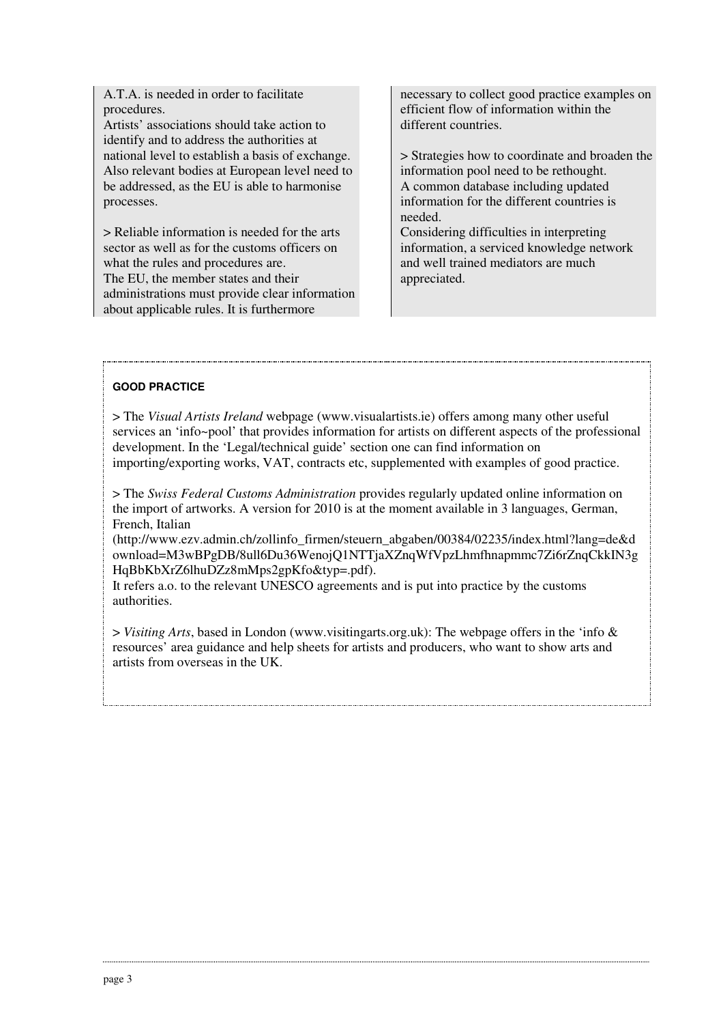A.T.A. is needed in order to facilitate procedures.

Artists' associations should take action to identify and to address the authorities at national level to establish a basis of exchange. Also relevant bodies at European level need to be addressed, as the EU is able to harmonise processes.

> Reliable information is needed for the arts sector as well as for the customs officers on what the rules and procedures are. The EU, the member states and their administrations must provide clear information about applicable rules. It is furthermore

necessary to collect good practice examples on efficient flow of information within the different countries.

> Strategies how to coordinate and broaden the information pool need to be rethought. A common database including updated information for the different countries is needed.

Considering difficulties in interpreting information, a serviced knowledge network and well trained mediators are much appreciated.

# **GOOD PRACTICE**

> The *Visual Artists Ireland* webpage (www.visualartists.ie) offers among many other useful services an 'info~pool' that provides information for artists on different aspects of the professional development. In the 'Legal/technical guide' section one can find information on importing/exporting works, VAT, contracts etc, supplemented with examples of good practice.

> The *Swiss Federal Customs Administration* provides regularly updated online information on the import of artworks. A version for 2010 is at the moment available in 3 languages, German, French, Italian

(http://www.ezv.admin.ch/zollinfo\_firmen/steuern\_abgaben/00384/02235/index.html?lang=de&d ownload=M3wBPgDB/8ull6Du36WenojQ1NTTjaXZnqWfVpzLhmfhnapmmc7Zi6rZnqCkkIN3g HqBbKbXrZ6lhuDZz8mMps2gpKfo&typ=.pdf).

It refers a.o. to the relevant UNESCO agreements and is put into practice by the customs authorities.

> *Visiting Arts*, based in London (www.visitingarts.org.uk): The webpage offers in the 'info & resources' area guidance and help sheets for artists and producers, who want to show arts and artists from overseas in the UK.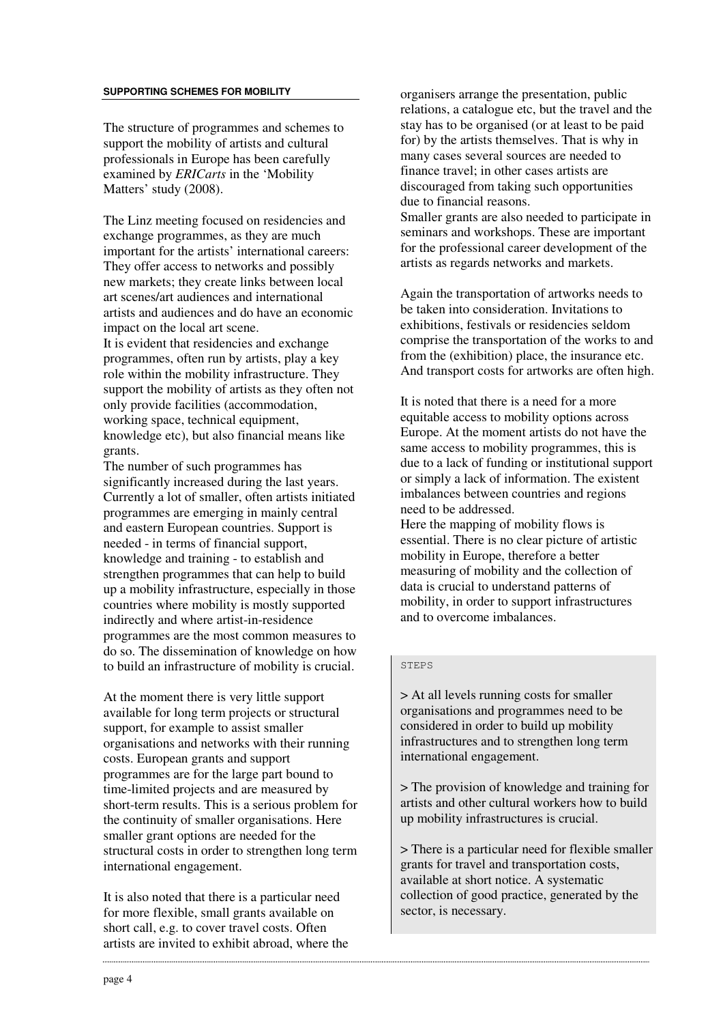#### **SUPPORTING SCHEMES FOR MOBILITY**

The structure of programmes and schemes to support the mobility of artists and cultural professionals in Europe has been carefully examined by *ERICarts* in the 'Mobility Matters' study (2008).

The Linz meeting focused on residencies and exchange programmes, as they are much important for the artists' international careers: They offer access to networks and possibly new markets; they create links between local art scenes/art audiences and international artists and audiences and do have an economic impact on the local art scene. It is evident that residencies and exchange programmes, often run by artists, play a key role within the mobility infrastructure. They support the mobility of artists as they often not only provide facilities (accommodation, working space, technical equipment, knowledge etc), but also financial means like grants.

The number of such programmes has significantly increased during the last years. Currently a lot of smaller, often artists initiated programmes are emerging in mainly central and eastern European countries. Support is needed - in terms of financial support, knowledge and training - to establish and strengthen programmes that can help to build up a mobility infrastructure, especially in those countries where mobility is mostly supported indirectly and where artist-in-residence programmes are the most common measures to do so. The dissemination of knowledge on how to build an infrastructure of mobility is crucial.

At the moment there is very little support available for long term projects or structural support, for example to assist smaller organisations and networks with their running costs. European grants and support programmes are for the large part bound to time-limited projects and are measured by short-term results. This is a serious problem for the continuity of smaller organisations. Here smaller grant options are needed for the structural costs in order to strengthen long term international engagement.

It is also noted that there is a particular need for more flexible, small grants available on short call, e.g. to cover travel costs. Often artists are invited to exhibit abroad, where the organisers arrange the presentation, public relations, a catalogue etc, but the travel and the stay has to be organised (or at least to be paid for) by the artists themselves. That is why in many cases several sources are needed to finance travel; in other cases artists are discouraged from taking such opportunities due to financial reasons. Smaller grants are also needed to participate in seminars and workshops. These are important for the professional career development of the artists as regards networks and markets.

Again the transportation of artworks needs to be taken into consideration. Invitations to exhibitions, festivals or residencies seldom comprise the transportation of the works to and from the (exhibition) place, the insurance etc. And transport costs for artworks are often high.

It is noted that there is a need for a more equitable access to mobility options across Europe. At the moment artists do not have the same access to mobility programmes, this is due to a lack of funding or institutional support or simply a lack of information. The existent imbalances between countries and regions need to be addressed.

Here the mapping of mobility flows is essential. There is no clear picture of artistic mobility in Europe, therefore a better measuring of mobility and the collection of data is crucial to understand patterns of mobility, in order to support infrastructures and to overcome imbalances.

#### STEPS

> At all levels running costs for smaller organisations and programmes need to be considered in order to build up mobility infrastructures and to strengthen long term international engagement.

> The provision of knowledge and training for artists and other cultural workers how to build up mobility infrastructures is crucial.

> There is a particular need for flexible smaller grants for travel and transportation costs, available at short notice. A systematic collection of good practice, generated by the sector, is necessary.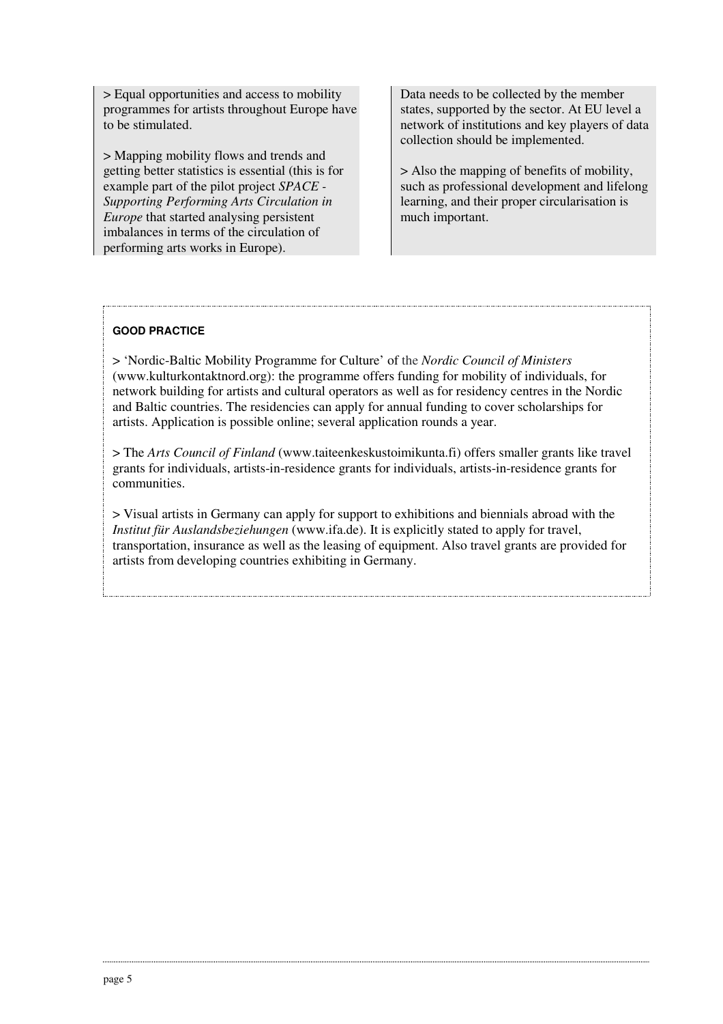> Equal opportunities and access to mobility programmes for artists throughout Europe have to be stimulated.

> Mapping mobility flows and trends and getting better statistics is essential (this is for example part of the pilot project *SPACE - Supporting Performing Arts Circulation in Europe* that started analysing persistent imbalances in terms of the circulation of performing arts works in Europe).

Data needs to be collected by the member states, supported by the sector. At EU level a network of institutions and key players of data collection should be implemented.

> Also the mapping of benefits of mobility, such as professional development and lifelong learning, and their proper circularisation is much important.

# **GOOD PRACTICE**

> 'Nordic-Baltic Mobility Programme for Culture' of the *Nordic Council of Ministers* (www.kulturkontaktnord.org): the programme offers funding for mobility of individuals, for network building for artists and cultural operators as well as for residency centres in the Nordic and Baltic countries. The residencies can apply for annual funding to cover scholarships for artists. Application is possible online; several application rounds a year.

> The *Arts Council of Finland* (www.taiteenkeskustoimikunta.fi) offers smaller grants like travel grants for individuals, artists-in-residence grants for individuals, artists-in-residence grants for communities.

> Visual artists in Germany can apply for support to exhibitions and biennials abroad with the *Institut für Auslandsbeziehungen* (www.ifa.de). It is explicitly stated to apply for travel, transportation, insurance as well as the leasing of equipment. Also travel grants are provided for artists from developing countries exhibiting in Germany.

.<br>..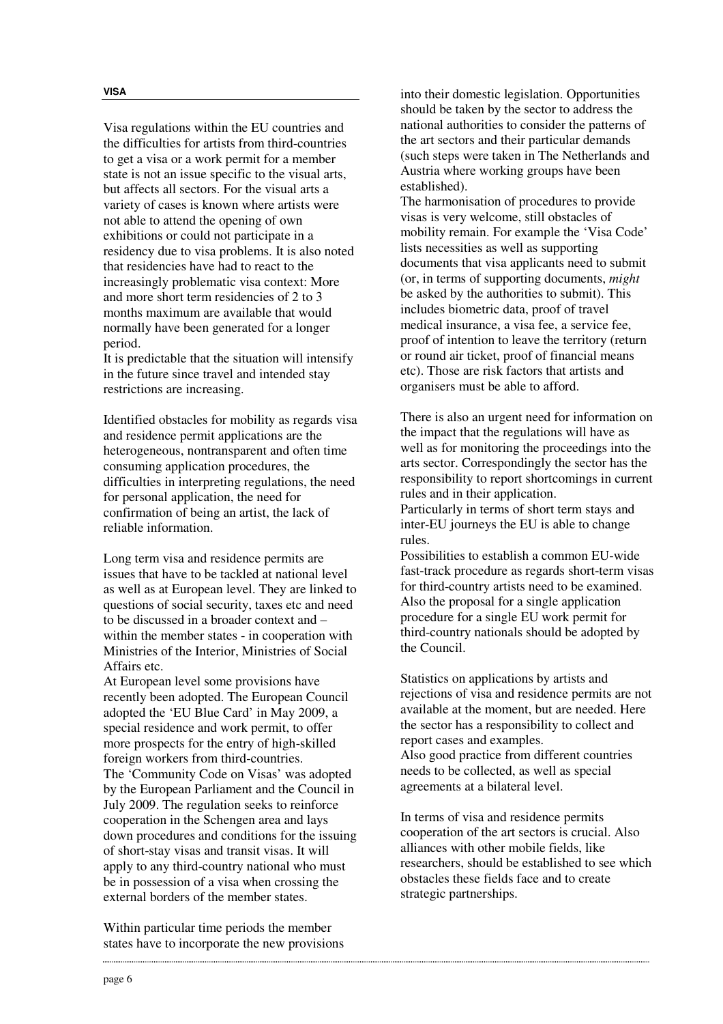Visa regulations within the EU countries and the difficulties for artists from third-countries to get a visa or a work permit for a member state is not an issue specific to the visual arts, but affects all sectors. For the visual arts a variety of cases is known where artists were not able to attend the opening of own exhibitions or could not participate in a residency due to visa problems. It is also noted that residencies have had to react to the increasingly problematic visa context: More and more short term residencies of 2 to 3 months maximum are available that would normally have been generated for a longer period.

It is predictable that the situation will intensify in the future since travel and intended stay restrictions are increasing.

Identified obstacles for mobility as regards visa and residence permit applications are the heterogeneous, nontransparent and often time consuming application procedures, the difficulties in interpreting regulations, the need for personal application, the need for confirmation of being an artist, the lack of reliable information.

Long term visa and residence permits are issues that have to be tackled at national level as well as at European level. They are linked to questions of social security, taxes etc and need to be discussed in a broader context and – within the member states - in cooperation with Ministries of the Interior, Ministries of Social Affairs etc.

At European level some provisions have recently been adopted. The European Council adopted the 'EU Blue Card' in May 2009, a special residence and work permit, to offer more prospects for the entry of high-skilled foreign workers from third-countries. The 'Community Code on Visas' was adopted by the European Parliament and the Council in July 2009. The regulation seeks to reinforce cooperation in the Schengen area and lays down procedures and conditions for the issuing of short-stay visas and transit visas. It will apply to any third-country national who must be in possession of a visa when crossing the external borders of the member states.

Within particular time periods the member states have to incorporate the new provisions into their domestic legislation. Opportunities should be taken by the sector to address the national authorities to consider the patterns of the art sectors and their particular demands (such steps were taken in The Netherlands and Austria where working groups have been established).

The harmonisation of procedures to provide visas is very welcome, still obstacles of mobility remain. For example the 'Visa Code' lists necessities as well as supporting documents that visa applicants need to submit (or, in terms of supporting documents, *might* be asked by the authorities to submit). This includes biometric data, proof of travel medical insurance, a visa fee, a service fee, proof of intention to leave the territory (return or round air ticket, proof of financial means etc). Those are risk factors that artists and organisers must be able to afford.

There is also an urgent need for information on the impact that the regulations will have as well as for monitoring the proceedings into the arts sector. Correspondingly the sector has the responsibility to report shortcomings in current rules and in their application. Particularly in terms of short term stays and

inter-EU journeys the EU is able to change rules.

Possibilities to establish a common EU-wide fast-track procedure as regards short-term visas for third-country artists need to be examined. Also the proposal for a single application procedure for a single EU work permit for third-country nationals should be adopted by the Council.

Statistics on applications by artists and rejections of visa and residence permits are not available at the moment, but are needed. Here the sector has a responsibility to collect and report cases and examples. Also good practice from different countries needs to be collected, as well as special agreements at a bilateral level.

In terms of visa and residence permits cooperation of the art sectors is crucial. Also alliances with other mobile fields, like researchers, should be established to see which obstacles these fields face and to create strategic partnerships.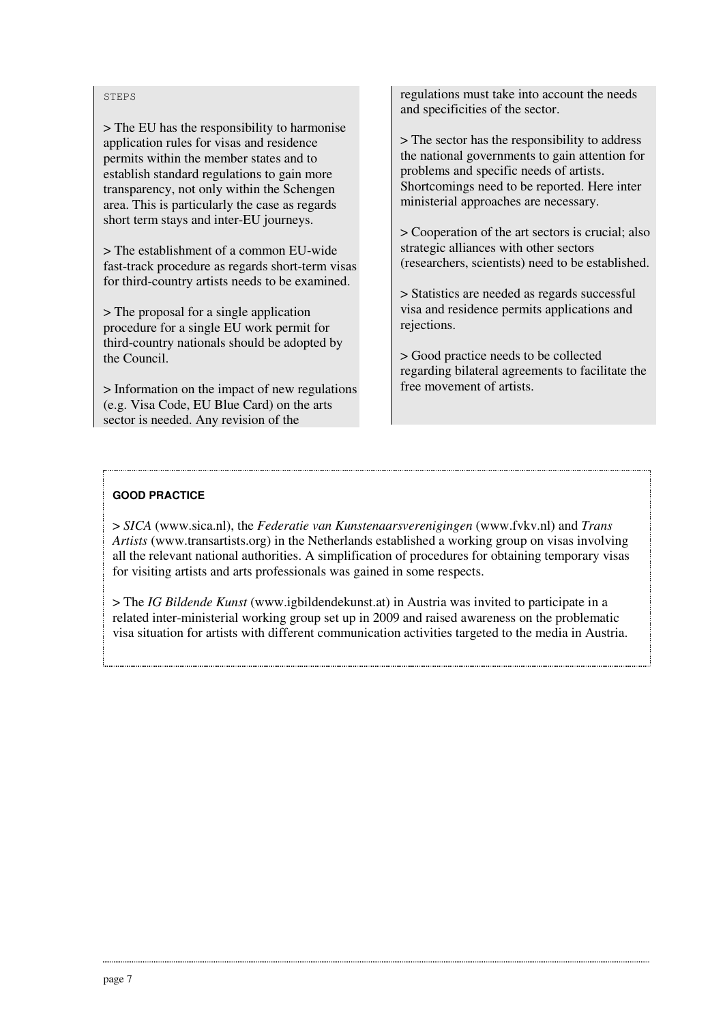#### **STEPS**

> The EU has the responsibility to harmonise application rules for visas and residence permits within the member states and to establish standard regulations to gain more transparency, not only within the Schengen area. This is particularly the case as regards short term stays and inter-EU journeys.

> The establishment of a common EU-wide fast-track procedure as regards short-term visas for third-country artists needs to be examined.

> The proposal for a single application procedure for a single EU work permit for third-country nationals should be adopted by the Council.

> Information on the impact of new regulations (e.g. Visa Code, EU Blue Card) on the arts sector is needed. Any revision of the

regulations must take into account the needs and specificities of the sector.

> The sector has the responsibility to address the national governments to gain attention for problems and specific needs of artists. Shortcomings need to be reported. Here inter ministerial approaches are necessary.

> Cooperation of the art sectors is crucial; also strategic alliances with other sectors (researchers, scientists) need to be established.

> Statistics are needed as regards successful visa and residence permits applications and rejections.

> Good practice needs to be collected regarding bilateral agreements to facilitate the free movement of artists.

# **GOOD PRACTICE**

> *SICA* (www.sica.nl), the *Federatie van Kunstenaarsverenigingen* (www.fvkv.nl) and *Trans Artists* (www.transartists.org) in the Netherlands established a working group on visas involving all the relevant national authorities. A simplification of procedures for obtaining temporary visas for visiting artists and arts professionals was gained in some respects.

> The *IG Bildende Kunst* (www.igbildendekunst.at) in Austria was invited to participate in a related inter-ministerial working group set up in 2009 and raised awareness on the problematic visa situation for artists with different communication activities targeted to the media in Austria.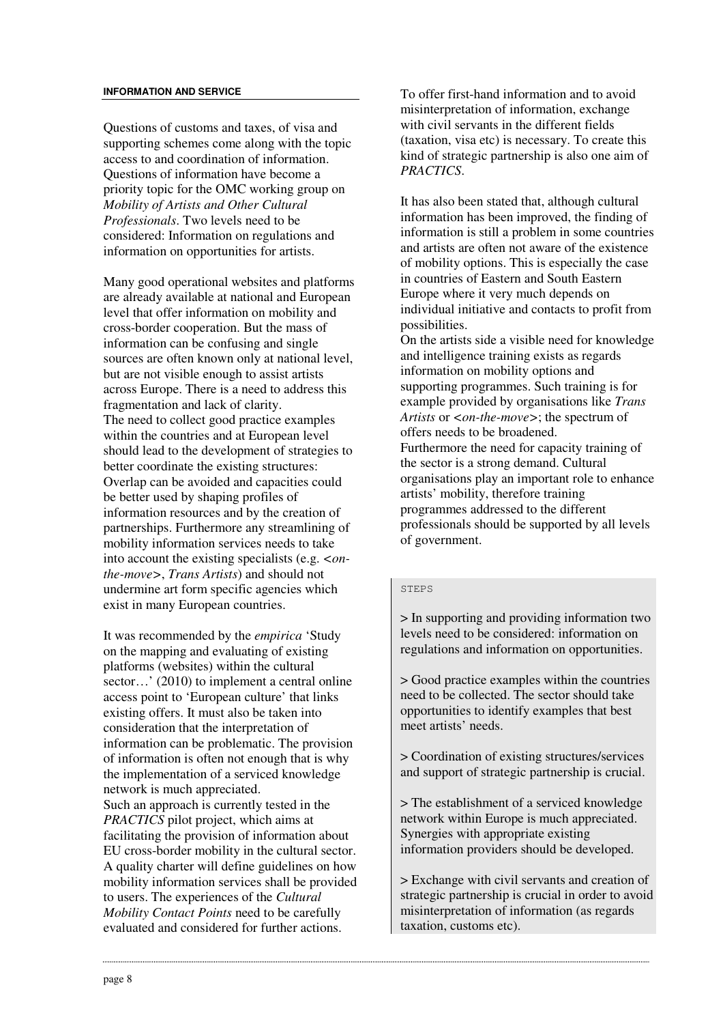#### **INFORMATION AND SERVICE**

Questions of customs and taxes, of visa and supporting schemes come along with the topic access to and coordination of information. Questions of information have become a priority topic for the OMC working group on *Mobility of Artists and Other Cultural Professionals*. Two levels need to be considered: Information on regulations and information on opportunities for artists.

Many good operational websites and platforms are already available at national and European level that offer information on mobility and cross-border cooperation. But the mass of information can be confusing and single sources are often known only at national level, but are not visible enough to assist artists across Europe. There is a need to address this fragmentation and lack of clarity. The need to collect good practice examples within the countries and at European level should lead to the development of strategies to better coordinate the existing structures: Overlap can be avoided and capacities could be better used by shaping profiles of information resources and by the creation of partnerships. Furthermore any streamlining of mobility information services needs to take into account the existing specialists (e.g. *<onthe-move>*, *Trans Artists*) and should not undermine art form specific agencies which exist in many European countries.

It was recommended by the *empirica* 'Study on the mapping and evaluating of existing platforms (websites) within the cultural sector…' (2010) to implement a central online access point to 'European culture' that links existing offers. It must also be taken into consideration that the interpretation of information can be problematic. The provision of information is often not enough that is why the implementation of a serviced knowledge network is much appreciated. Such an approach is currently tested in the *PRACTICS* pilot project, which aims at facilitating the provision of information about EU cross-border mobility in the cultural sector. A quality charter will define guidelines on how mobility information services shall be provided to users. The experiences of the *Cultural Mobility Contact Points* need to be carefully evaluated and considered for further actions.

To offer first-hand information and to avoid misinterpretation of information, exchange with civil servants in the different fields (taxation, visa etc) is necessary. To create this kind of strategic partnership is also one aim of *PRACTICS*.

It has also been stated that, although cultural information has been improved, the finding of information is still a problem in some countries and artists are often not aware of the existence of mobility options. This is especially the case in countries of Eastern and South Eastern Europe where it very much depends on individual initiative and contacts to profit from possibilities.

On the artists side a visible need for knowledge and intelligence training exists as regards information on mobility options and supporting programmes. Such training is for example provided by organisations like *Trans Artists* or *<on-the-move>*; the spectrum of offers needs to be broadened. Furthermore the need for capacity training of the sector is a strong demand. Cultural organisations play an important role to enhance artists' mobility, therefore training programmes addressed to the different professionals should be supported by all levels of government.

#### STEPS

> In supporting and providing information two levels need to be considered: information on regulations and information on opportunities.

> Good practice examples within the countries need to be collected. The sector should take opportunities to identify examples that best meet artists' needs.

> Coordination of existing structures/services and support of strategic partnership is crucial.

> The establishment of a serviced knowledge network within Europe is much appreciated. Synergies with appropriate existing information providers should be developed.

> Exchange with civil servants and creation of strategic partnership is crucial in order to avoid misinterpretation of information (as regards taxation, customs etc).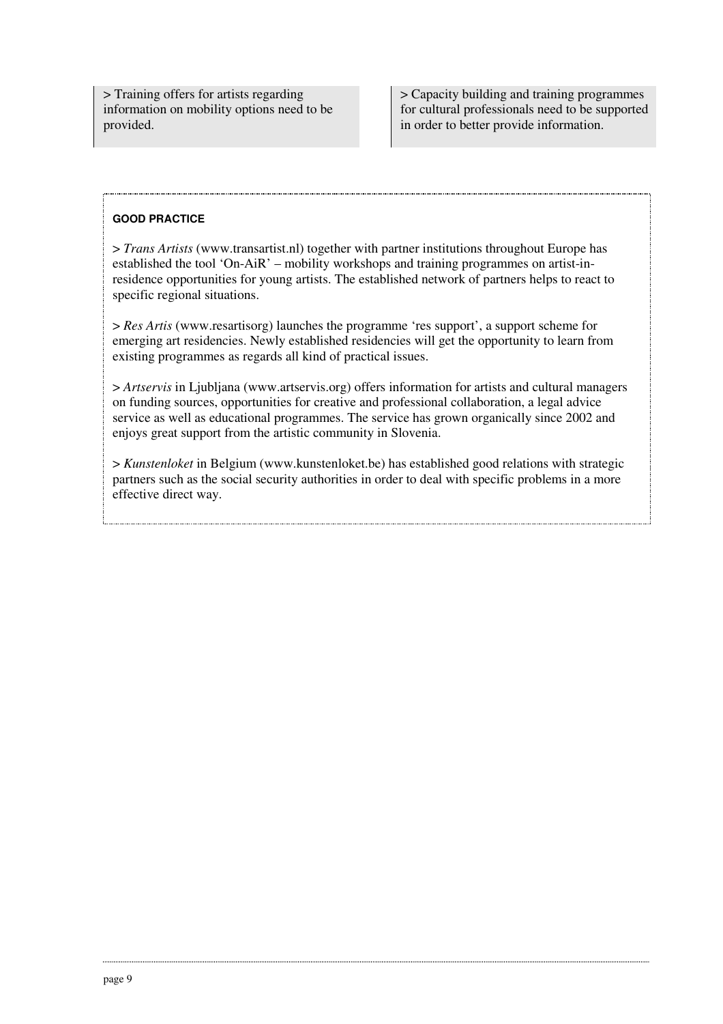> Training offers for artists regarding information on mobility options need to be provided.

> Capacity building and training programmes for cultural professionals need to be supported in order to better provide information.

# **GOOD PRACTICE**

 $\overline{a}$ 

> *Trans Artists* (www.transartist.nl) together with partner institutions throughout Europe has established the tool 'On-AiR' – mobility workshops and training programmes on artist-inresidence opportunities for young artists. The established network of partners helps to react to specific regional situations.

> *Res Artis* (www.resartisorg) launches the programme 'res support', a support scheme for emerging art residencies. Newly established residencies will get the opportunity to learn from existing programmes as regards all kind of practical issues.

> *Artservis* in Ljubljana (www.artservis.org) offers information for artists and cultural managers on funding sources, opportunities for creative and professional collaboration, a legal advice service as well as educational programmes. The service has grown organically since 2002 and enjoys great support from the artistic community in Slovenia.

> *Kunstenloket* in Belgium (www.kunstenloket.be) has established good relations with strategic partners such as the social security authorities in order to deal with specific problems in a more effective direct way.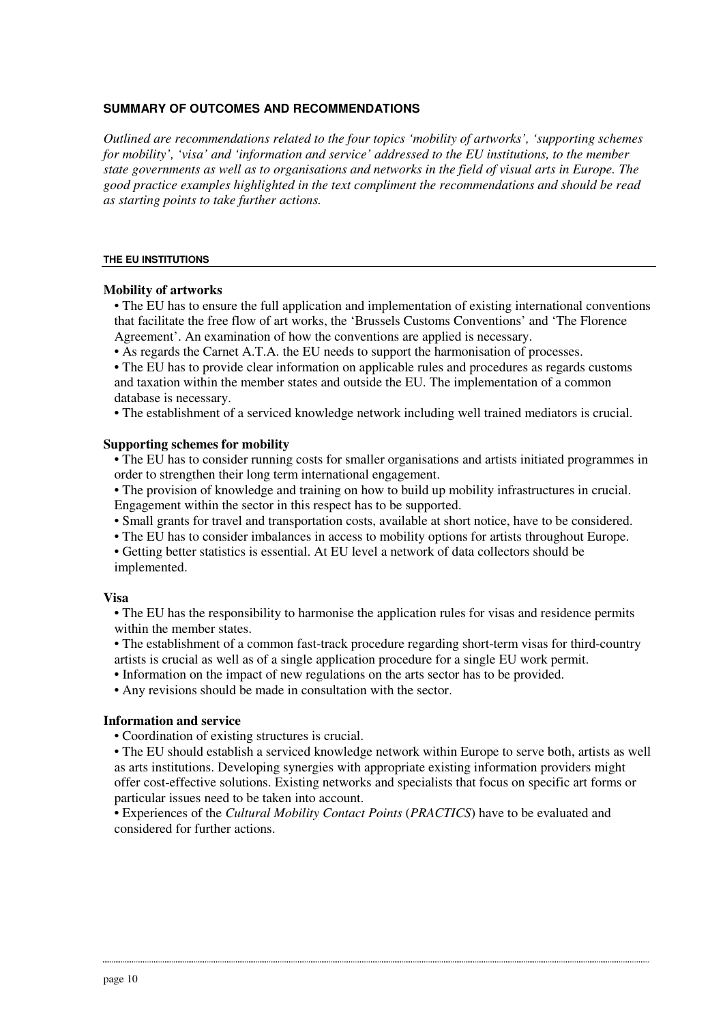### **SUMMARY OF OUTCOMES AND RECOMMENDATIONS**

*Outlined are recommendations related to the four topics 'mobility of artworks', 'supporting schemes for mobility', 'visa' and 'information and service' addressed to the EU institutions, to the member state governments as well as to organisations and networks in the field of visual arts in Europe. The good practice examples highlighted in the text compliment the recommendations and should be read as starting points to take further actions.* 

#### **THE EU INSTITUTIONS**

### **Mobility of artworks**

- The EU has to ensure the full application and implementation of existing international conventions that facilitate the free flow of art works, the 'Brussels Customs Conventions' and 'The Florence Agreement'. An examination of how the conventions are applied is necessary.
- As regards the Carnet A.T.A. the EU needs to support the harmonisation of processes.

• The EU has to provide clear information on applicable rules and procedures as regards customs and taxation within the member states and outside the EU. The implementation of a common database is necessary.

• The establishment of a serviced knowledge network including well trained mediators is crucial.

### **Supporting schemes for mobility**

• The EU has to consider running costs for smaller organisations and artists initiated programmes in order to strengthen their long term international engagement.

- The provision of knowledge and training on how to build up mobility infrastructures in crucial. Engagement within the sector in this respect has to be supported.
- Small grants for travel and transportation costs, available at short notice, have to be considered.
- The EU has to consider imbalances in access to mobility options for artists throughout Europe.
- Getting better statistics is essential. At EU level a network of data collectors should be implemented.

#### **Visa**

• The EU has the responsibility to harmonise the application rules for visas and residence permits within the member states.

• The establishment of a common fast-track procedure regarding short-term visas for third-country artists is crucial as well as of a single application procedure for a single EU work permit.

• Information on the impact of new regulations on the arts sector has to be provided.

• Any revisions should be made in consultation with the sector.

## **Information and service**

• Coordination of existing structures is crucial.

• The EU should establish a serviced knowledge network within Europe to serve both, artists as well as arts institutions. Developing synergies with appropriate existing information providers might offer cost-effective solutions. Existing networks and specialists that focus on specific art forms or particular issues need to be taken into account.

• Experiences of the *Cultural Mobility Contact Points* (*PRACTICS*) have to be evaluated and considered for further actions.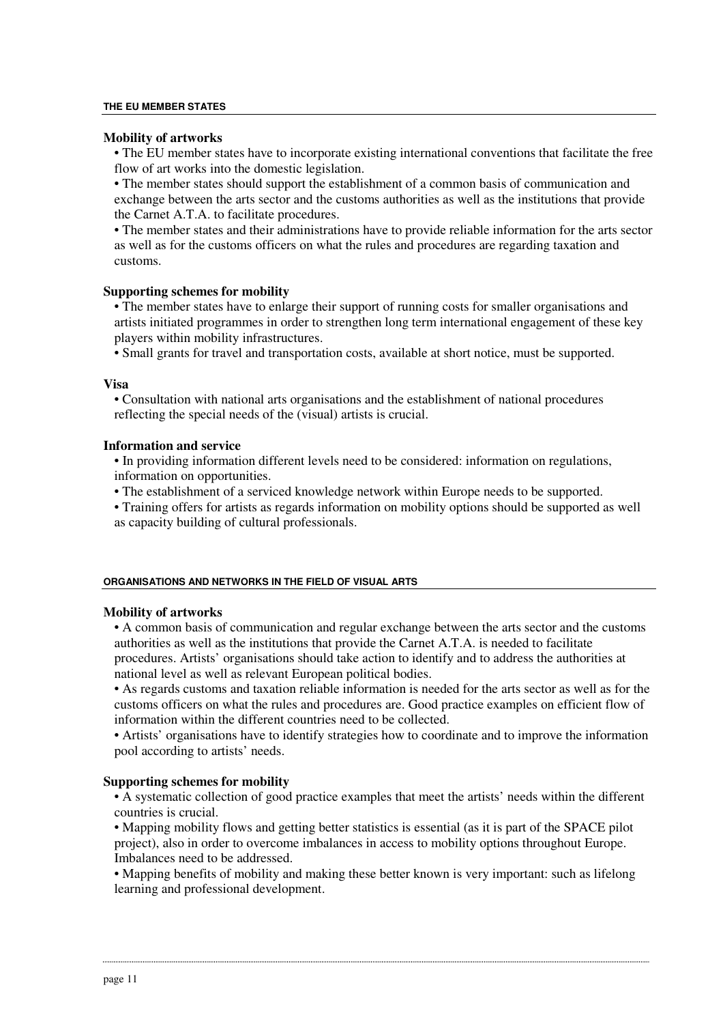#### **THE EU MEMBER STATES**

#### **Mobility of artworks**

• The EU member states have to incorporate existing international conventions that facilitate the free flow of art works into the domestic legislation.

• The member states should support the establishment of a common basis of communication and exchange between the arts sector and the customs authorities as well as the institutions that provide the Carnet A.T.A. to facilitate procedures.

• The member states and their administrations have to provide reliable information for the arts sector as well as for the customs officers on what the rules and procedures are regarding taxation and customs.

#### **Supporting schemes for mobility**

• The member states have to enlarge their support of running costs for smaller organisations and artists initiated programmes in order to strengthen long term international engagement of these key players within mobility infrastructures.

• Small grants for travel and transportation costs, available at short notice, must be supported.

#### **Visa**

• Consultation with national arts organisations and the establishment of national procedures reflecting the special needs of the (visual) artists is crucial.

### **Information and service**

• In providing information different levels need to be considered: information on regulations, information on opportunities.

• The establishment of a serviced knowledge network within Europe needs to be supported.

• Training offers for artists as regards information on mobility options should be supported as well as capacity building of cultural professionals.

#### **ORGANISATIONS AND NETWORKS IN THE FIELD OF VISUAL ARTS**

#### **Mobility of artworks**

• A common basis of communication and regular exchange between the arts sector and the customs authorities as well as the institutions that provide the Carnet A.T.A. is needed to facilitate procedures. Artists' organisations should take action to identify and to address the authorities at national level as well as relevant European political bodies.

• As regards customs and taxation reliable information is needed for the arts sector as well as for the customs officers on what the rules and procedures are. Good practice examples on efficient flow of information within the different countries need to be collected.

• Artists' organisations have to identify strategies how to coordinate and to improve the information pool according to artists' needs.

#### **Supporting schemes for mobility**

• A systematic collection of good practice examples that meet the artists' needs within the different countries is crucial.

• Mapping mobility flows and getting better statistics is essential (as it is part of the SPACE pilot project), also in order to overcome imbalances in access to mobility options throughout Europe. Imbalances need to be addressed.

• Mapping benefits of mobility and making these better known is very important: such as lifelong learning and professional development.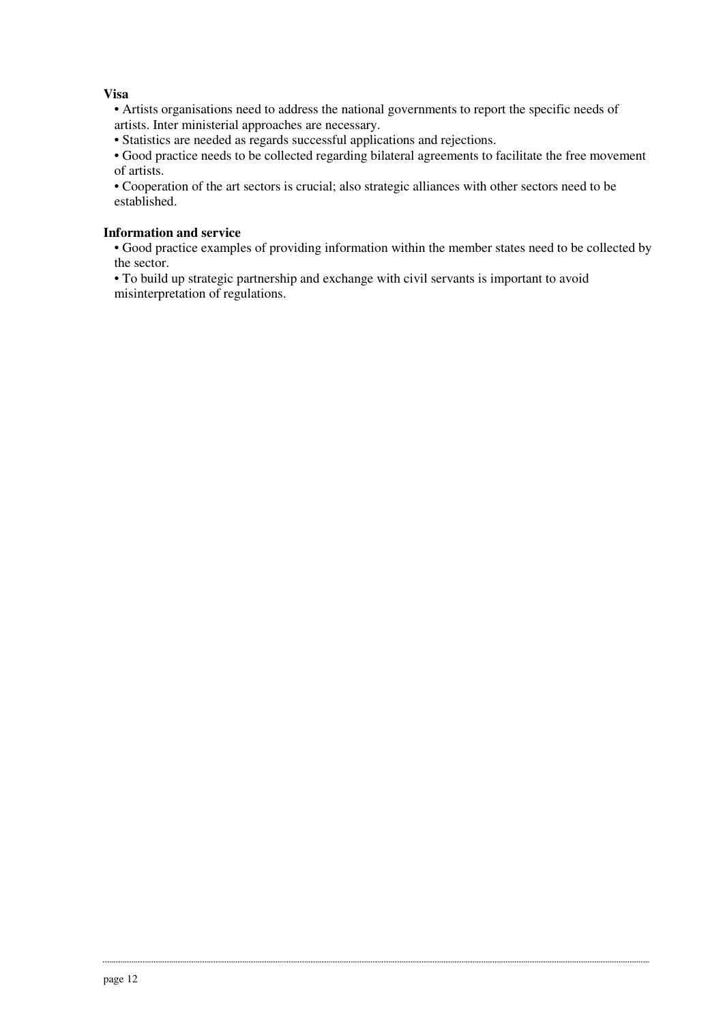# **Visa**

- Artists organisations need to address the national governments to report the specific needs of artists. Inter ministerial approaches are necessary.
- Statistics are needed as regards successful applications and rejections.

• Good practice needs to be collected regarding bilateral agreements to facilitate the free movement of artists.

• Cooperation of the art sectors is crucial; also strategic alliances with other sectors need to be established.

# **Information and service**

• Good practice examples of providing information within the member states need to be collected by the sector.

• To build up strategic partnership and exchange with civil servants is important to avoid misinterpretation of regulations.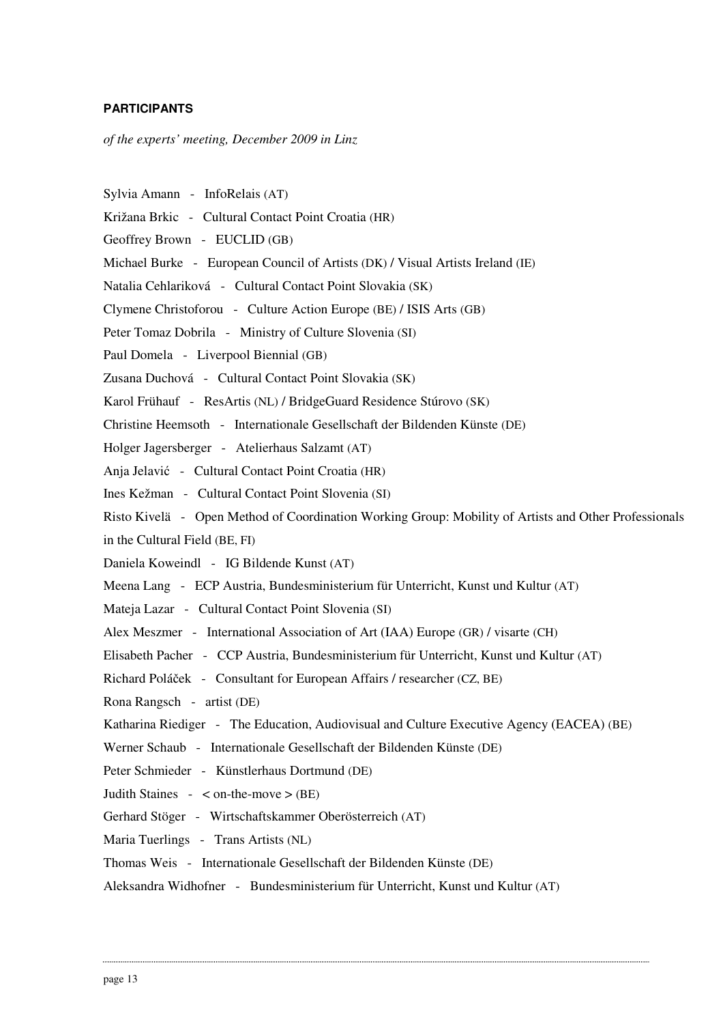## **PARTICIPANTS**

*of the experts' meeting, December 2009 in Linz* 

- Sylvia Amann InfoRelais (AT)
- Križana Brkic Cultural Contact Point Croatia (HR)
- Geoffrey Brown EUCLID (GB)
- Michael Burke European Council of Artists (DK) / Visual Artists Ireland (IE)
- Natalia Cehlariková Cultural Contact Point Slovakia (SK)
- Clymene Christoforou Culture Action Europe (BE) / ISIS Arts (GB)
- Peter Tomaz Dobrila Ministry of Culture Slovenia (SI)
- Paul Domela Liverpool Biennial (GB)
- Zusana Duchová Cultural Contact Point Slovakia (SK)
- Karol Frühauf ResArtis (NL) / BridgeGuard Residence Stúrovo (SK)
- Christine Heemsoth Internationale Gesellschaft der Bildenden Künste (DE)
- Holger Jagersberger Atelierhaus Salzamt (AT)
- Anja Jelavić Cultural Contact Point Croatia (HR)
- Ines Kežman Cultural Contact Point Slovenia (SI)
- Risto Kivelä Open Method of Coordination Working Group: Mobility of Artists and Other Professionals
- in the Cultural Field (BE, FI)
- Daniela Koweindl IG Bildende Kunst (AT)
- Meena Lang ECP Austria, Bundesministerium für Unterricht, Kunst und Kultur (AT)
- Mateja Lazar Cultural Contact Point Slovenia (SI)
- Alex Meszmer International Association of Art (IAA) Europe (GR) / visarte (CH)
- Elisabeth Pacher CCP Austria, Bundesministerium für Unterricht, Kunst und Kultur (AT)
- Richard Poláček Consultant for European Affairs / researcher (CZ, BE)
- Rona Rangsch artist (DE)
- Katharina Riediger The Education, Audiovisual and Culture Executive Agency (EACEA) (BE)
- Werner Schaub Internationale Gesellschaft der Bildenden Künste (DE)
- Peter Schmieder Künstlerhaus Dortmund (DE)
- Judith Staines  $-$  < on-the-move > (BE)
- Gerhard Stöger Wirtschaftskammer Oberösterreich (AT)
- Maria Tuerlings Trans Artists (NL)
- Thomas Weis Internationale Gesellschaft der Bildenden Künste (DE)
- Aleksandra Widhofner Bundesministerium für Unterricht, Kunst und Kultur (AT)